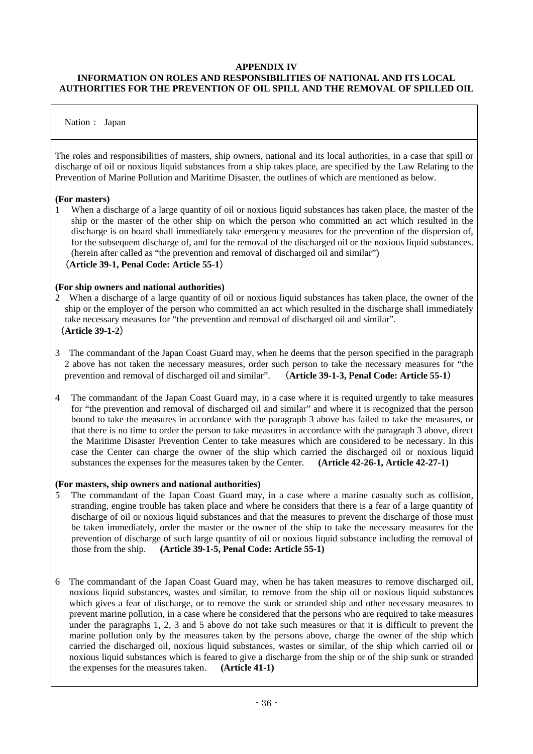## **APPENDIX IV**

## **INFORMATION ON ROLES AND RESPONSIBILITIES OF NATIONAL AND ITS LOCAL AUTHORITIES FOR THE PREVENTION OF OIL SPILL AND THE REMOVAL OF SPILLED OIL**

## Nation: Japan

The roles and responsibilities of masters, ship owners, national and its local authorities, in a case that spill or discharge of oil or noxious liquid substances from a ship takes place, are specified by the Law Relating to the Prevention of Marine Pollution and Maritime Disaster, the outlines of which are mentioned as below.

### **(For masters)**

1 When a discharge of a large quantity of oil or noxious liquid substances has taken place, the master of the ship or the master of the other ship on which the person who committed an act which resulted in the discharge is on board shall immediately take emergency measures for the prevention of the dispersion of, for the subsequent discharge of, and for the removal of the discharged oil or the noxious liquid substances. (herein after called as "the prevention and removal of discharged oil and similar")

# (**Article 39-1, Penal Code: Article 55-1**)

#### **(For ship owners and national authorities)**

- 2 When a discharge of a large quantity of oil or noxious liquid substances has taken place, the owner of the ship or the employer of the person who committed an act which resulted in the discharge shall immediately take necessary measures for "the prevention and removal of discharged oil and similar". (**Article 39-1-2**)
- 3 The commandant of the Japan Coast Guard may, when he deems that the person specified in the paragraph 2 above has not taken the necessary measures, order such person to take the necessary measures for "the prevention and removal of discharged oil and similar". (**Article 39-1-3, Penal Code: Article 55-1**)
- 4 The commandant of the Japan Coast Guard may, in a case where it is requited urgently to take measures for "the prevention and removal of discharged oil and similar" and where it is recognized that the person bound to take the measures in accordance with the paragraph 3 above has failed to take the measures, or that there is no time to order the person to take measures in accordance with the paragraph 3 above, direct the Maritime Disaster Prevention Center to take measures which are considered to be necessary. In this case the Center can charge the owner of the ship which carried the discharged oil or noxious liquid substances the expenses for the measures taken by the Center. **(Article 42-26-1, Article 42-27-1)**

### **(For masters, ship owners and national authorities)**

- 5 The commandant of the Japan Coast Guard may, in a case where a marine casualty such as collision, stranding, engine trouble has taken place and where he considers that there is a fear of a large quantity of discharge of oil or noxious liquid substances and that the measures to prevent the discharge of those must be taken immediately, order the master or the owner of the ship to take the necessary measures for the prevention of discharge of such large quantity of oil or noxious liquid substance including the removal of those from the ship. **(Article 39-1-5, Penal Code: Article 55-1)**
- 6 The commandant of the Japan Coast Guard may, when he has taken measures to remove discharged oil, noxious liquid substances, wastes and similar, to remove from the ship oil or noxious liquid substances which gives a fear of discharge, or to remove the sunk or stranded ship and other necessary measures to prevent marine pollution, in a case where he considered that the persons who are required to take measures under the paragraphs 1, 2, 3 and 5 above do not take such measures or that it is difficult to prevent the marine pollution only by the measures taken by the persons above, charge the owner of the ship which carried the discharged oil, noxious liquid substances, wastes or similar, of the ship which carried oil or noxious liquid substances which is feared to give a discharge from the ship or of the ship sunk or stranded the expenses for the measures taken. **(Article 41-1)**